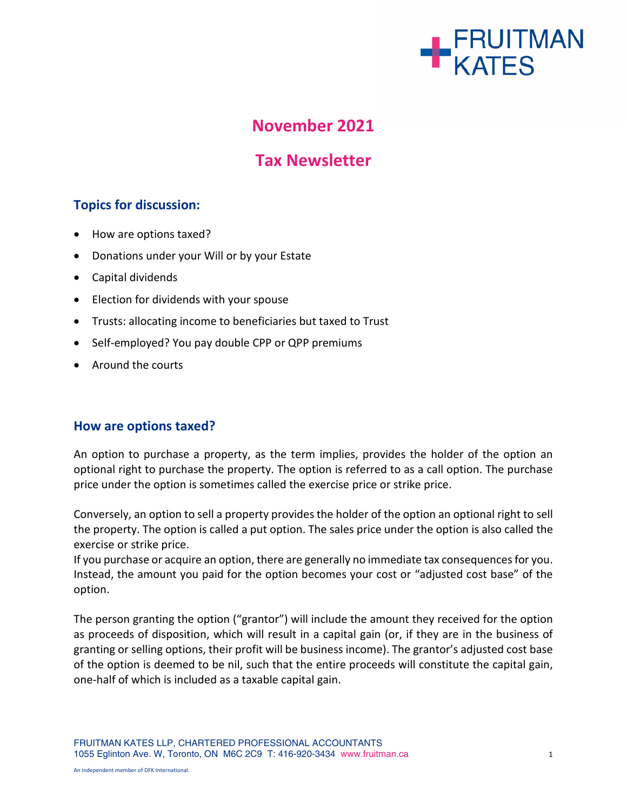

# **November 2021**

# **Tax Newsletter**

# **Topics for discussion:**

- How are options taxed?
- Donations under your Will or by your Estate
- Capital dividends
- Election for dividends with your spouse
- Trusts: allocating income to beneficiaries but taxed to Trust
- Self-employed? You pay double CPP or QPP premiums
- Around the courts

## **How are options taxed?**

An option to purchase a property, as the term implies, provides the holder of the option an optional right to purchase the property. The option is referred to as a call option. The purchase price under the option is sometimes called the exercise price or strike price.

Conversely, an option to sell a property provides the holder of the option an optional right to sell the property. The option is called a put option. The sales price under the option is also called the exercise or strike price.

If you purchase or acquire an option, there are generally no immediate tax consequencesfor you. Instead, the amount you paid for the option becomes your cost or "adjusted cost base" of the option.

The person granting the option ("grantor") will include the amount they received for the option as proceeds of disposition, which will result in a capital gain (or, if they are in the business of granting or selling options, their profit will be business income). The grantor's adjusted cost base of the option is deemed to be nil, such that the entire proceeds will constitute the capital gain, one-half of which is included as a taxable capital gain.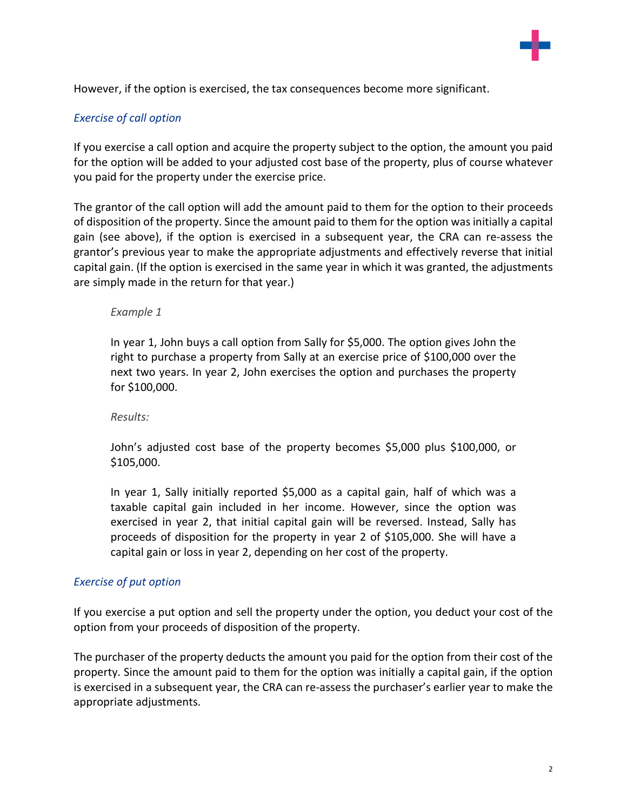

However, if the option is exercised, the tax consequences become more significant.

## *Exercise of call option*

If you exercise a call option and acquire the property subject to the option, the amount you paid for the option will be added to your adjusted cost base of the property, plus of course whatever you paid for the property under the exercise price.

The grantor of the call option will add the amount paid to them for the option to their proceeds of disposition of the property. Since the amount paid to them for the option wasinitially a capital gain (see above), if the option is exercised in a subsequent year, the CRA can re-assess the grantor's previous year to make the appropriate adjustments and effectively reverse that initial capital gain. (If the option is exercised in the same year in which it was granted, the adjustments are simply made in the return for that year.)

#### *Example 1*

In year 1, John buys a call option from Sally for \$5,000. The option gives John the right to purchase a property from Sally at an exercise price of \$100,000 over the next two years. In year 2, John exercises the option and purchases the property for \$100,000.

#### *Results:*

John's adjusted cost base of the property becomes \$5,000 plus \$100,000, or \$105,000.

In year 1, Sally initially reported \$5,000 as a capital gain, half of which was a taxable capital gain included in her income. However, since the option was exercised in year 2, that initial capital gain will be reversed. Instead, Sally has proceeds of disposition for the property in year 2 of \$105,000. She will have a capital gain or loss in year 2, depending on her cost of the property.

## *Exercise of put option*

If you exercise a put option and sell the property under the option, you deduct your cost of the option from your proceeds of disposition of the property.

The purchaser of the property deducts the amount you paid for the option from their cost of the property. Since the amount paid to them for the option was initially a capital gain, if the option is exercised in a subsequent year, the CRA can re-assess the purchaser's earlier year to make the appropriate adjustments.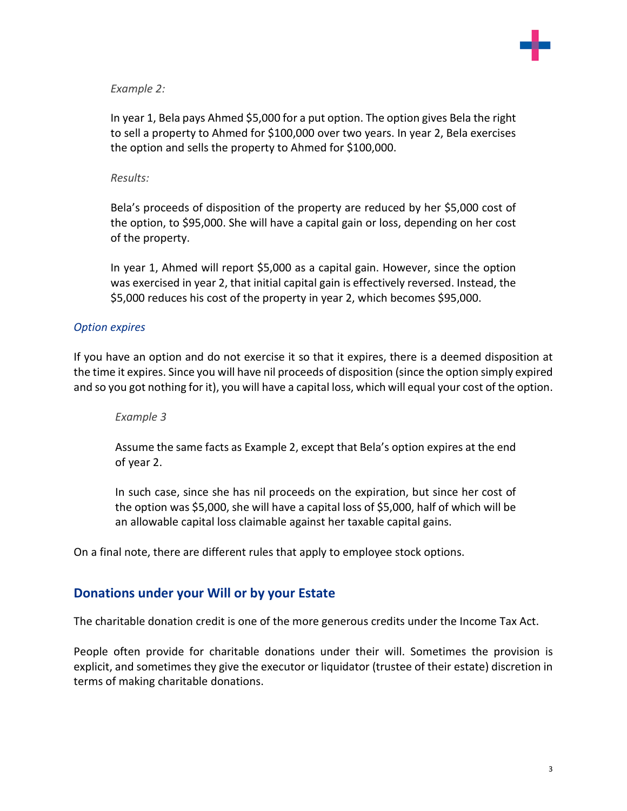

#### *Example 2:*

In year 1, Bela pays Ahmed \$5,000 for a put option. The option gives Bela the right to sell a property to Ahmed for \$100,000 over two years. In year 2, Bela exercises the option and sells the property to Ahmed for \$100,000.

#### *Results:*

Bela's proceeds of disposition of the property are reduced by her \$5,000 cost of the option, to \$95,000. She will have a capital gain or loss, depending on her cost of the property.

In year 1, Ahmed will report \$5,000 as a capital gain. However, since the option was exercised in year 2, that initial capital gain is effectively reversed. Instead, the \$5,000 reduces his cost of the property in year 2, which becomes \$95,000.

#### *Option expires*

If you have an option and do not exercise it so that it expires, there is a deemed disposition at the time it expires. Since you will have nil proceeds of disposition (since the option simply expired and so you got nothing for it), you will have a capital loss, which will equal your cost of the option.

*Example 3*

Assume the same facts as Example 2, except that Bela's option expires at the end of year 2.

In such case, since she has nil proceeds on the expiration, but since her cost of the option was \$5,000, she will have a capital loss of \$5,000, half of which will be an allowable capital loss claimable against her taxable capital gains.

On a final note, there are different rules that apply to employee stock options.

## **Donations under your Will or by your Estate**

The charitable donation credit is one of the more generous credits under the Income Tax Act.

People often provide for charitable donations under their will. Sometimes the provision is explicit, and sometimes they give the executor or liquidator (trustee of their estate) discretion in terms of making charitable donations.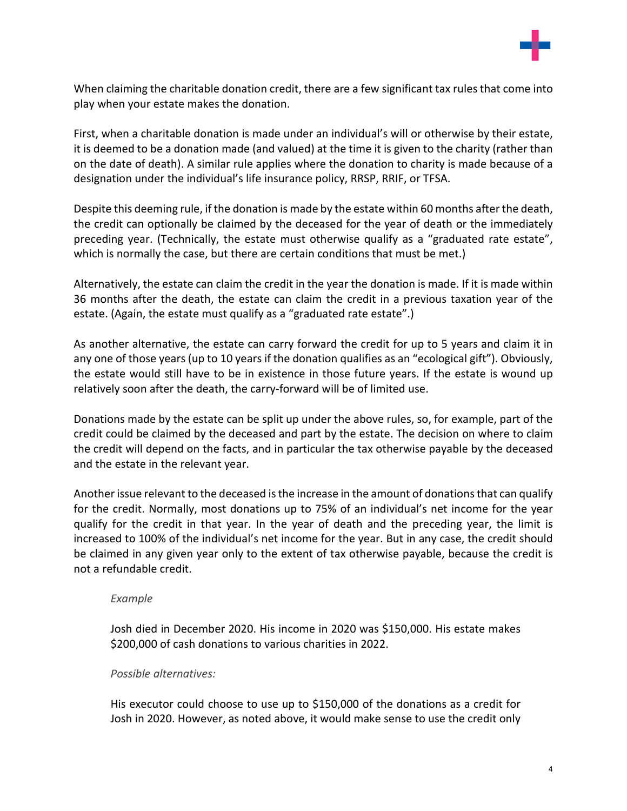

When claiming the charitable donation credit, there are a few significant tax rules that come into play when your estate makes the donation.

First, when a charitable donation is made under an individual's will or otherwise by their estate, it is deemed to be a donation made (and valued) at the time it is given to the charity (rather than on the date of death). A similar rule applies where the donation to charity is made because of a designation under the individual's life insurance policy, RRSP, RRIF, or TFSA.

Despite this deeming rule, if the donation is made by the estate within 60 months afterthe death, the credit can optionally be claimed by the deceased for the year of death or the immediately preceding year. (Technically, the estate must otherwise qualify as a "graduated rate estate", which is normally the case, but there are certain conditions that must be met.)

Alternatively, the estate can claim the credit in the year the donation is made. If it is made within 36 months after the death, the estate can claim the credit in a previous taxation year of the estate. (Again, the estate must qualify as a "graduated rate estate".)

As another alternative, the estate can carry forward the credit for up to 5 years and claim it in any one of those years (up to 10 years if the donation qualifies as an "ecological gift"). Obviously, the estate would still have to be in existence in those future years. If the estate is wound up relatively soon after the death, the carry-forward will be of limited use.

Donations made by the estate can be split up under the above rules, so, for example, part of the credit could be claimed by the deceased and part by the estate. The decision on where to claim the credit will depend on the facts, and in particular the tax otherwise payable by the deceased and the estate in the relevant year.

Another issue relevant to the deceased is the increase in the amount of donations that can qualify for the credit. Normally, most donations up to 75% of an individual's net income for the year qualify for the credit in that year. In the year of death and the preceding year, the limit is increased to 100% of the individual's net income for the year. But in any case, the credit should be claimed in any given year only to the extent of tax otherwise payable, because the credit is not a refundable credit.

## *Example*

Josh died in December 2020. His income in 2020 was \$150,000. His estate makes \$200,000 of cash donations to various charities in 2022.

## *Possible alternatives:*

His executor could choose to use up to \$150,000 of the donations as a credit for Josh in 2020. However, as noted above, it would make sense to use the credit only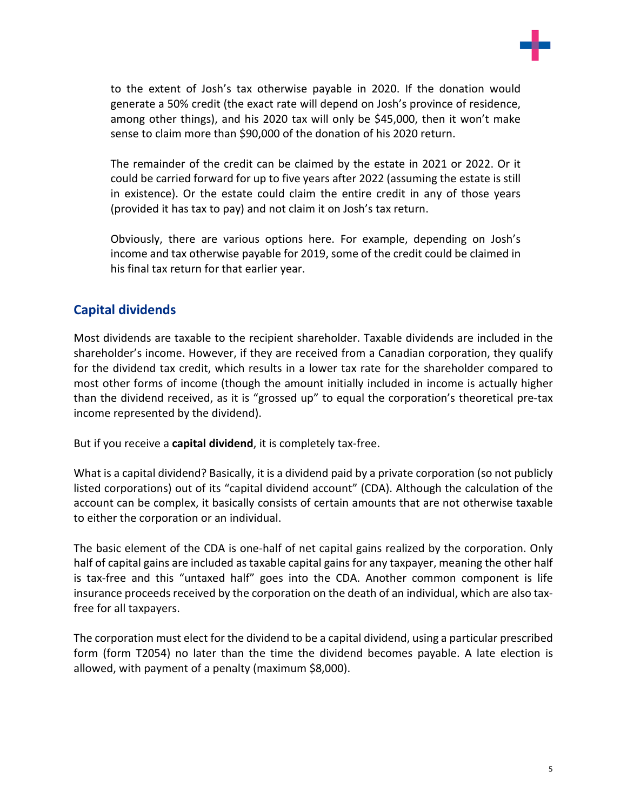

to the extent of Josh's tax otherwise payable in 2020. If the donation would generate a 50% credit (the exact rate will depend on Josh's province of residence, among other things), and his 2020 tax will only be \$45,000, then it won't make sense to claim more than \$90,000 of the donation of his 2020 return.

The remainder of the credit can be claimed by the estate in 2021 or 2022. Or it could be carried forward for up to five years after 2022 (assuming the estate is still in existence). Or the estate could claim the entire credit in any of those years (provided it has tax to pay) and not claim it on Josh's tax return.

Obviously, there are various options here. For example, depending on Josh's income and tax otherwise payable for 2019, some of the credit could be claimed in his final tax return for that earlier year.

# **Capital dividends**

Most dividends are taxable to the recipient shareholder. Taxable dividends are included in the shareholder's income. However, if they are received from a Canadian corporation, they qualify for the dividend tax credit, which results in a lower tax rate for the shareholder compared to most other forms of income (though the amount initially included in income is actually higher than the dividend received, as it is "grossed up" to equal the corporation's theoretical pre-tax income represented by the dividend).

But if you receive a **capital dividend**, it is completely tax-free.

What is a capital dividend? Basically, it is a dividend paid by a private corporation (so not publicly listed corporations) out of its "capital dividend account" (CDA). Although the calculation of the account can be complex, it basically consists of certain amounts that are not otherwise taxable to either the corporation or an individual.

The basic element of the CDA is one-half of net capital gains realized by the corporation. Only half of capital gains are included as taxable capital gains for any taxpayer, meaning the other half is tax-free and this "untaxed half" goes into the CDA. Another common component is life insurance proceeds received by the corporation on the death of an individual, which are also taxfree for all taxpayers.

The corporation must elect for the dividend to be a capital dividend, using a particular prescribed form (form T2054) no later than the time the dividend becomes payable. A late election is allowed, with payment of a penalty (maximum \$8,000).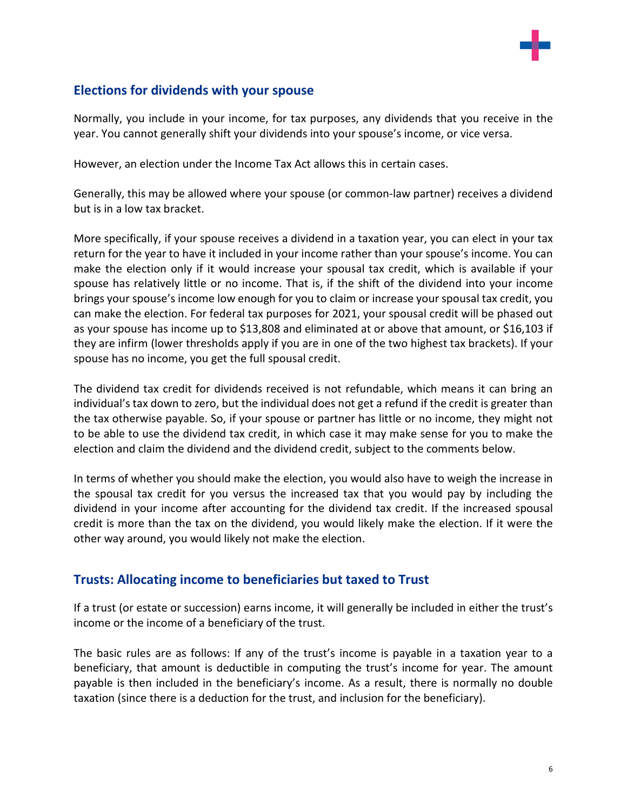

# **Elections for dividends with your spouse**

Normally, you include in your income, for tax purposes, any dividends that you receive in the year. You cannot generally shift your dividends into your spouse's income, or vice versa.

However, an election under the Income Tax Act allows this in certain cases.

Generally, this may be allowed where your spouse (or common-law partner) receives a dividend but is in a low tax bracket.

More specifically, if your spouse receives a dividend in a taxation year, you can elect in your tax return for the year to have it included in your income rather than your spouse's income. You can make the election only if it would increase your spousal tax credit, which is available if your spouse has relatively little or no income. That is, if the shift of the dividend into your income brings your spouse's income low enough for you to claim or increase your spousal tax credit, you can make the election. For federal tax purposes for 2021, your spousal credit will be phased out as your spouse has income up to \$13,808 and eliminated at or above that amount, or \$16,103 if they are infirm (lower thresholds apply if you are in one of the two highest tax brackets). If your spouse has no income, you get the full spousal credit.

The dividend tax credit for dividends received is not refundable, which means it can bring an individual's tax down to zero, but the individual does not get a refund if the credit is greater than the tax otherwise payable. So, if your spouse or partner has little or no income, they might not to be able to use the dividend tax credit, in which case it may make sense for you to make the election and claim the dividend and the dividend credit, subject to the comments below.

In terms of whether you should make the election, you would also have to weigh the increase in the spousal tax credit for you versus the increased tax that you would pay by including the dividend in your income after accounting for the dividend tax credit. If the increased spousal credit is more than the tax on the dividend, you would likely make the election. If it were the other way around, you would likely not make the election.

# **Trusts: Allocating income to beneficiaries but taxed to Trust**

If a trust (or estate or succession) earns income, it will generally be included in either the trust's income or the income of a beneficiary of the trust.

The basic rules are as follows: If any of the trust's income is payable in a taxation year to a beneficiary, that amount is deductible in computing the trust's income for year. The amount payable is then included in the beneficiary's income. As a result, there is normally no double taxation (since there is a deduction for the trust, and inclusion for the beneficiary).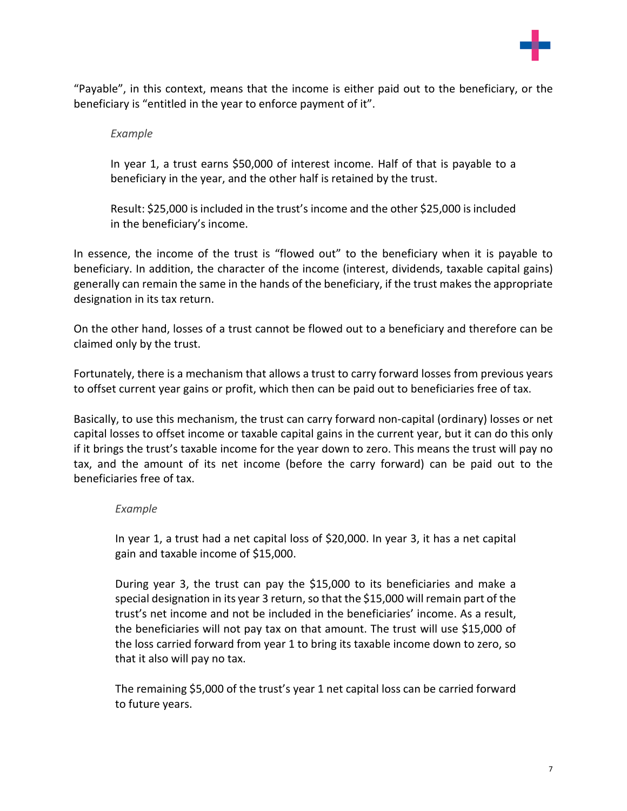

"Payable", in this context, means that the income is either paid out to the beneficiary, or the beneficiary is "entitled in the year to enforce payment of it".

#### *Example*

In year 1, a trust earns \$50,000 of interest income. Half of that is payable to a beneficiary in the year, and the other half is retained by the trust.

Result: \$25,000 is included in the trust's income and the other \$25,000 is included in the beneficiary's income.

In essence, the income of the trust is "flowed out" to the beneficiary when it is payable to beneficiary. In addition, the character of the income (interest, dividends, taxable capital gains) generally can remain the same in the hands of the beneficiary, if the trust makes the appropriate designation in its tax return.

On the other hand, losses of a trust cannot be flowed out to a beneficiary and therefore can be claimed only by the trust.

Fortunately, there is a mechanism that allows a trust to carry forward losses from previous years to offset current year gains or profit, which then can be paid out to beneficiaries free of tax.

Basically, to use this mechanism, the trust can carry forward non-capital (ordinary) losses or net capital losses to offset income or taxable capital gains in the current year, but it can do this only if it brings the trust's taxable income for the year down to zero. This means the trust will pay no tax, and the amount of its net income (before the carry forward) can be paid out to the beneficiaries free of tax.

#### *Example*

In year 1, a trust had a net capital loss of \$20,000. In year 3, it has a net capital gain and taxable income of \$15,000.

During year 3, the trust can pay the \$15,000 to its beneficiaries and make a special designation in its year 3 return, so that the \$15,000 will remain part of the trust's net income and not be included in the beneficiaries' income. As a result, the beneficiaries will not pay tax on that amount. The trust will use \$15,000 of the loss carried forward from year 1 to bring its taxable income down to zero, so that it also will pay no tax.

The remaining \$5,000 of the trust's year 1 net capital loss can be carried forward to future years.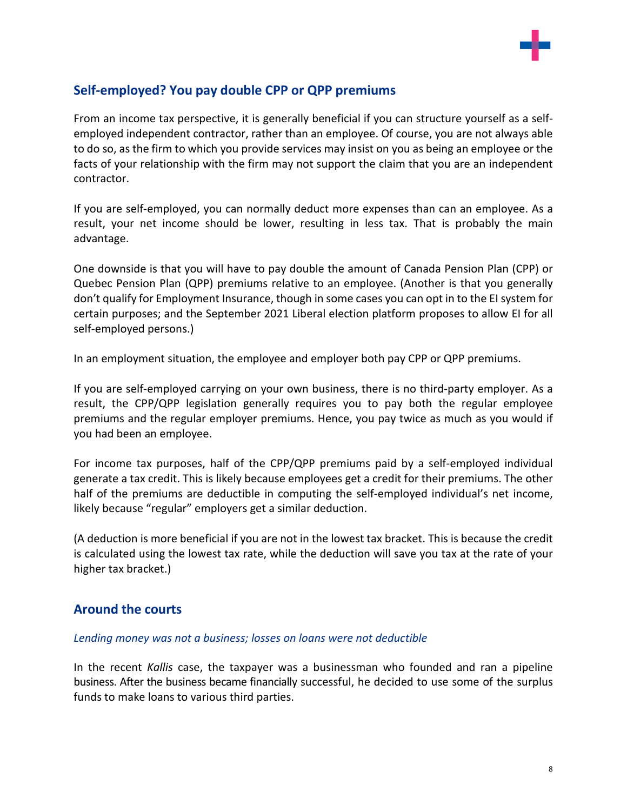

# **Self-employed? You pay double CPP or QPP premiums**

From an income tax perspective, it is generally beneficial if you can structure yourself as a selfemployed independent contractor, rather than an employee. Of course, you are not always able to do so, as the firm to which you provide services may insist on you as being an employee or the facts of your relationship with the firm may not support the claim that you are an independent contractor.

If you are self-employed, you can normally deduct more expenses than can an employee. As a result, your net income should be lower, resulting in less tax. That is probably the main advantage.

One downside is that you will have to pay double the amount of Canada Pension Plan (CPP) or Quebec Pension Plan (QPP) premiums relative to an employee. (Another is that you generally don't qualify for Employment Insurance, though in some cases you can opt in to the EI system for certain purposes; and the September 2021 Liberal election platform proposes to allow EI for all self-employed persons.)

In an employment situation, the employee and employer both pay CPP or QPP premiums.

If you are self-employed carrying on your own business, there is no third-party employer. As a result, the CPP/QPP legislation generally requires you to pay both the regular employee premiums and the regular employer premiums. Hence, you pay twice as much as you would if you had been an employee.

For income tax purposes, half of the CPP/QPP premiums paid by a self-employed individual generate a tax credit. This is likely because employees get a credit for their premiums. The other half of the premiums are deductible in computing the self-employed individual's net income, likely because "regular" employers get a similar deduction.

(A deduction is more beneficial if you are not in the lowest tax bracket. This is because the credit is calculated using the lowest tax rate, while the deduction will save you tax at the rate of your higher tax bracket.)

# **Around the courts**

## *Lending money was not a business; losses on loans were not deductible*

In the recent *Kallis* case, the taxpayer was a businessman who founded and ran a pipeline business. After the business became financially successful, he decided to use some of the surplus funds to make loans to various third parties.